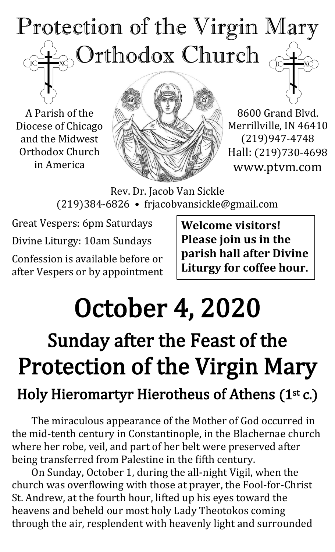

A Parish of the Diocese of Chicago and the Midwest Orthodox Church in America



8600 Grand Blvd. Merrillville, IN 46410 (219)947-4748 Hall: (219)730-4698 www.ptvm.com

Rev. Dr. Jacob Van Sickle (219)384-6826 • frjacobvansickle@gmail.com

Great Vespers: 6pm Saturdays Divine Liturgy: 10am Sundays Confession is available before or after Vespers or by appointment **Welcome visitors! Please join us in the parish hall after Divine Liturgy for coffee hour.**

# October 4, 2020

# Sunday after the Feast of the Protection of the Virgin Mary

### Holy Hieromartyr Hierotheus of Athens (1st c.)

The miraculous appearance of the Mother of God occurred in the mid-tenth century in Constantinople, in the Blachernae church where her robe, veil, and part of her belt were preserved after being transferred from Palestine in the fifth century.

On Sunday, October 1, during the all-night Vigil, when the church was overflowing with those at prayer, the Fool-for-Christ St. Andrew, at the fourth hour, lifted up his eyes toward the heavens and beheld our most holy Lady Theotokos coming through the air, resplendent with heavenly light and surrounded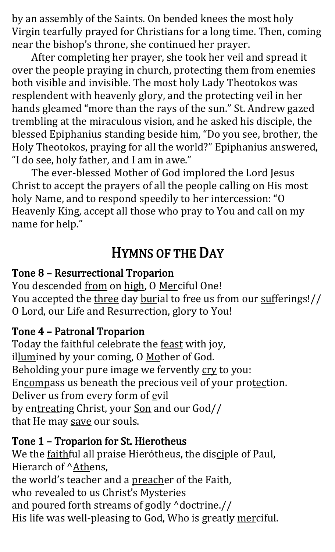by an assembly of the Saints. On bended knees the most holy Virgin tearfully prayed for Christians for a long time. Then, coming near the bishop's throne, she continued her prayer.

After completing her prayer, she took her veil and spread it over the people praying in church, protecting them from enemies both visible and invisible. The most holy Lady Theotokos was resplendent with heavenly glory, and the protecting veil in her hands gleamed "more than the rays of the sun." St. Andrew gazed trembling at the miraculous vision, and he asked his disciple, the blessed Epiphanius standing beside him, "Do you see, brother, the Holy Theotokos, praying for all the world?" Epiphanius answered, "I do see, holy father, and I am in awe."

The ever-blessed Mother of God implored the Lord Jesus Christ to accept the prayers of all the people calling on His most holy Name, and to respond speedily to her intercession: "O Heavenly King, accept all those who pray to You and call on my name for help."

#### HYMNS OF THE DAY

#### Tone 8 – Resurrectional Troparion

You descended from on high, O Merciful One! You accepted the three day burial to free us from our sufferings!// O Lord, our Life and Resurrection, glory to You!

#### Tone 4 – Patronal Troparion

Today the faithful celebrate the feast with joy, illumined by your coming, O Mother of God. Beholding your pure image we fervently cry to you: Encompass us beneath the precious veil of your protection. Deliver us from every form of evil by entreating Christ, your Son and our God// that He may save our souls.

#### Tone 1 – Troparion for St. Hierotheus

We the faithful all praise Hierótheus, the disciple of Paul, Hierarch of ^Athens, the world's teacher and a preacher of the Faith, who revealed to us Christ's Mysteries and poured forth streams of godly  $\Delta$ doctrine.// His life was well-pleasing to God, Who is greatly merciful.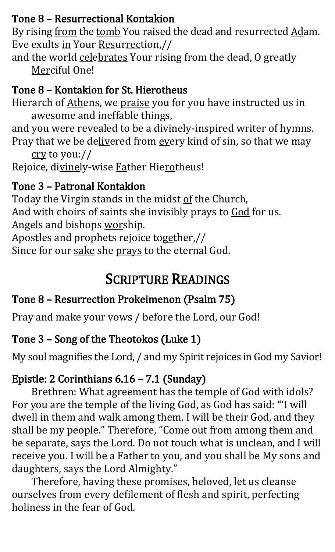#### Tone 8 – Resurrectional Kontakion

By rising from the tomb You raised the dead and resurrected Adam. Eve exults in Your Resurrection,//

and the world celebrates Your rising from the dead, O greatly Merciful One!

#### Tone 8 – Kontakion for St. Hierotheus

Hierarch of Athens, we praise you for you have instructed us in awesome and ineffable things,

and you were revealed to be a divinely-inspired writer of hymns. Pray that we be delivered from every kind of sin, so that we may cry to you://

Rejoice, divinely-wise Father Hierotheus!

#### Tone 3 – Patronal Kontakion

Today the Virgin stands in the midst of the Church, And with choirs of saints she invisibly prays to God for us. Angels and bishops worship.

Apostles and prophets rejoice together,//

Since for our sake she prays to the eternal God.

### SCRIPTURE READINGS

#### Tone 8 – Resurrection Prokeimenon (Psalm 75)

Pray and make your vows / before the Lord, our God!

#### Tone 3 – Song of the Theotokos (Luke 1)

My soul magnifies the Lord, / and my Spirit rejoices in God my Savior!

#### Epistle: 2 Corinthians 6.16 – 7.1 (Sunday)

Brethren: What agreement has the temple of God with idols? For you are the temple of the living God, as God has said: "'I will dwell in them and walk among them. I will be their God, and they shall be my people." Therefore, "Come out from among them and be separate, says the Lord. Do not touch what is unclean, and I will receive you. I will be a Father to you, and you shall be My sons and daughters, says the Lord Almighty."

Therefore, having these promises, beloved, let us cleanse ourselves from every defilement of flesh and spirit, perfecting holiness in the fear of God.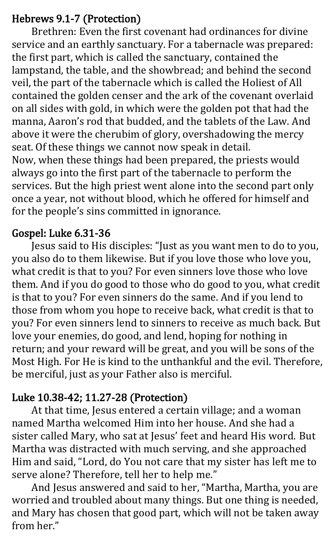#### Hebrews 9.1-7 (Protection)

 Brethren: Even the first covenant had ordinances for divine service and an earthly sanctuary. For a tabernacle was prepared: the first part, which is called the sanctuary, contained the lampstand, the table, and the showbread; and behind the second veil, the part of the tabernacle which is called the Holiest of All contained the golden censer and the ark of the covenant overlaid on all sides with gold, in which were the golden pot that had the manna, Aaron's rod that budded, and the tablets of the Law. And above it were the cherubim of glory, overshadowing the mercy seat. Of these things we cannot now speak in detail. Now, when these things had been prepared, the priests would always go into the first part of the tabernacle to perform the services. But the high priest went alone into the second part only once a year, not without blood, which he offered for himself and for the people's sins committed in ignorance.

#### Gospel: Luke 6.31-36

Jesus said to His disciples: "Just as you want men to do to you, you also do to them likewise. But if you love those who love you, what credit is that to you? For even sinners love those who love them. And if you do good to those who do good to you, what credit is that to you? For even sinners do the same. And if you lend to those from whom you hope to receive back, what credit is that to you? For even sinners lend to sinners to receive as much back. But love your enemies, do good, and lend, hoping for nothing in return; and your reward will be great, and you will be sons of the Most High. For He is kind to the unthankful and the evil. Therefore, be merciful, just as your Father also is merciful.

#### Luke 10.38-42; 11.27-28 (Protection)

At that time, Jesus entered a certain village; and a woman named Martha welcomed Him into her house. And she had a sister called Mary, who sat at Jesus' feet and heard His word. But Martha was distracted with much serving, and she approached Him and said, "Lord, do You not care that my sister has left me to serve alone? Therefore, tell her to help me."

And Jesus answered and said to her, "Martha, Martha, you are worried and troubled about many things. But one thing is needed, and Mary has chosen that good part, which will not be taken away from her"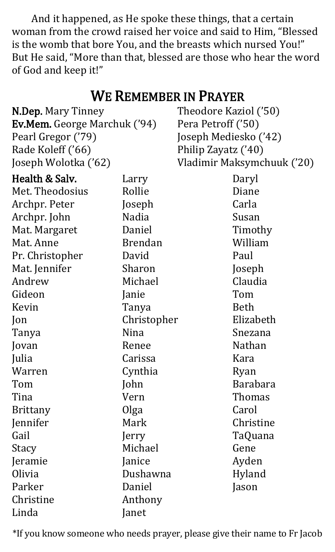And it happened, as He spoke these things, that a certain woman from the crowd raised her voice and said to Him, "Blessed is the womb that bore You, and the breasts which nursed You!" But He said, "More than that, blessed are those who hear the word of God and keep it!"

#### WE REMEMBER IN PRAYER N.Dep. Mary Tinney Ev.Mem. George Marchuk ('94) Pearl Gregor ('79) Rade Koleff ('66) Joseph Wolotka ('62) Theodore Kaziol ('50) Pera Petroff ('50) Joseph Mediesko ('42) Philip Zayatz ('40) Vladimir Maksymchuuk ('20) Health & Salv. Met. Theodosius Archpr. Peter Archpr. John Mat. Margaret Mat. Anne Pr. Christopher Mat. Jennifer Andrew Gideon Kevin Jon Tanya Jovan Julia Warren Tom Tina Brittany Jennifer Gail **Stacy** Jeramie Olivia Parker Christine Linda Larry Rollie Joseph Nadia Daniel Brendan David Sharon Michael Janie Tanya Christopher Nina Renee Carissa Cynthia John Vern Olga Mark Jerry Michael Janice Dushawna Daniel Anthony Janet Daryl Diane Carla Susan Timothy William Paul Joseph Claudia Tom Beth Elizabeth Snezana Nathan Kara Ryan Barabara Thomas **Carol** Christine TaQuana Gene Ayden Hyland Jason

\*If you know someone who needs prayer, please give their name to Fr Jacob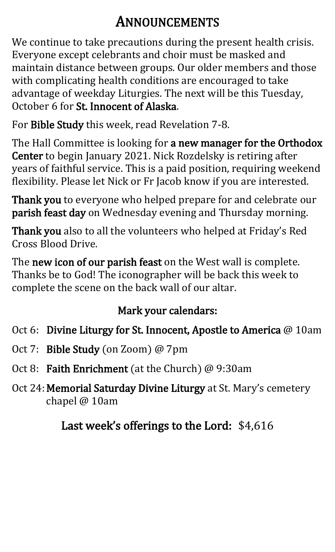### ANNOUNCEMENTS

We continue to take precautions during the present health crisis. Everyone except celebrants and choir must be masked and maintain distance between groups. Our older members and those with complicating health conditions are encouraged to take advantage of weekday Liturgies. The next will be this Tuesday, October 6 for St. Innocent of Alaska.

For Bible Study this week, read Revelation 7-8.

The Hall Committee is looking for a new manager for the Orthodox Center to begin January 2021. Nick Rozdelsky is retiring after years of faithful service. This is a paid position, requiring weekend flexibility. Please let Nick or Fr Jacob know if you are interested.

Thank you to everyone who helped prepare for and celebrate our parish feast day on Wednesday evening and Thursday morning.

Thank you also to all the volunteers who helped at Friday's Red Cross Blood Drive.

The new icon of our parish feast on the West wall is complete. Thanks be to God! The iconographer will be back this week to complete the scene on the back wall of our altar.

#### Mark your calendars:

- Oct 6: Divine Liturgy for St. Innocent, Apostle to America @ 10am
- Oct 7: Bible Study (on Zoom) @ 7pm
- Oct 8: Faith Enrichment (at the Church) @ 9:30am
- Oct 24: Memorial Saturday Divine Liturgy at St. Mary's cemetery chapel @ 10am

Last week's offerings to the Lord: \$4,616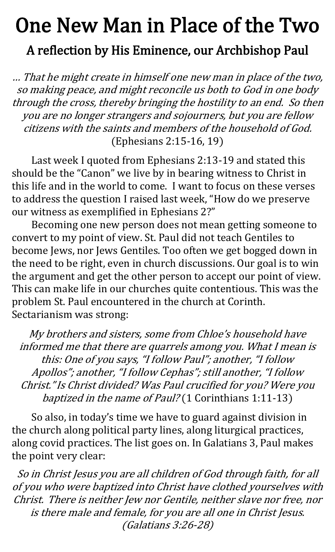## One New Man in Place of the Two A reflection by His Eminence, our Archbishop Paul

… That he might create in himself one new man in place of the two, so making peace, and might reconcile us both to God in one body through the cross, thereby bringing the hostility to an end. So then you are no longer strangers and sojourners, but you are fellow citizens with the saints and members of the household of God. (Ephesians 2:15-16, 19)

Last week I quoted from Ephesians 2:13-19 and stated this should be the "Canon" we live by in bearing witness to Christ in this life and in the world to come. I want to focus on these verses to address the question I raised last week, "How do we preserve our witness as exemplified in Ephesians 2?"

Becoming one new person does not mean getting someone to convert to my point of view. St. Paul did not teach Gentiles to become Jews, nor Jews Gentiles. Too often we get bogged down in the need to be right, even in church discussions. Our goal is to win the argument and get the other person to accept our point of view. This can make life in our churches quite contentious. This was the problem St. Paul encountered in the church at Corinth. Sectarianism was strong:

My brothers and sisters, some from Chloe's household have informed me that there are quarrels among you. What I mean is this: One of you says, "I follow Paul"; another, "I follow Apollos"; another, "I follow Cephas"; still another, "I follow Christ." Is Christ divided? Was Paul crucified for you? Were you baptized in the name of Paul? (1 Corinthians 1:11-13)

So also, in today's time we have to guard against division in the church along political party lines, along liturgical practices, along covid practices. The list goes on. In Galatians 3, Paul makes the point very clear:

So in Christ Jesus you are all children of God through faith, for all of you who were baptized into Christ have clothed yourselves with Christ. There is neither Jew nor Gentile, neither slave nor free, nor is there male and female, for you are all one in Christ Jesus. (Galatians 3:26-28)